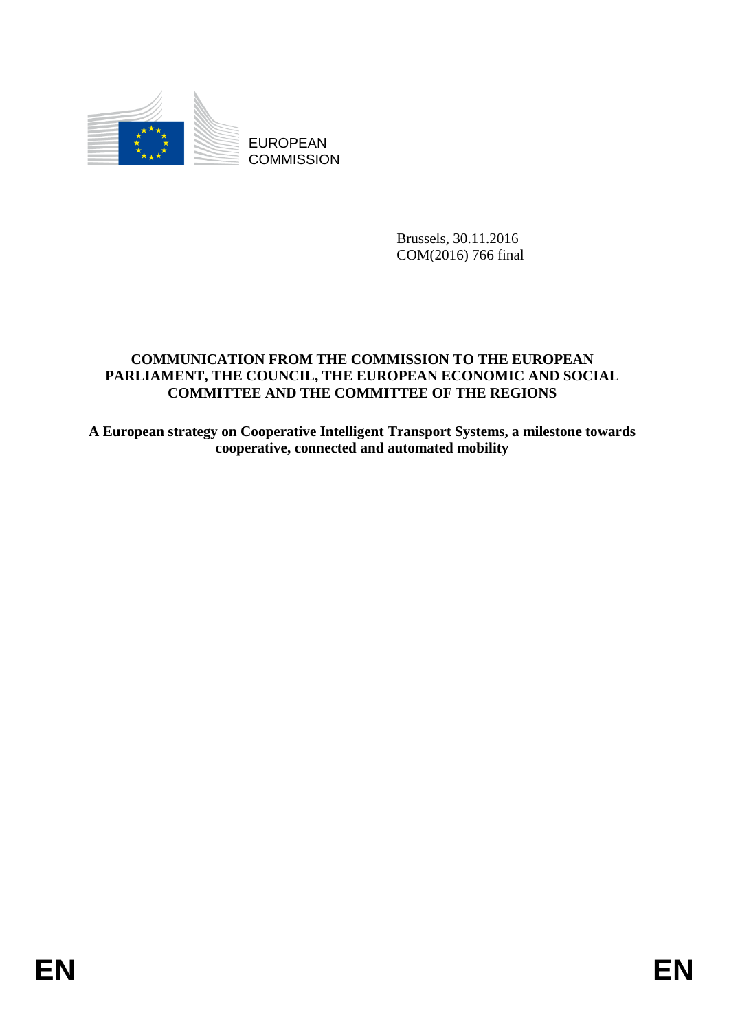

EUROPEAN **COMMISSION** 

> Brussels, 30.11.2016 COM(2016) 766 final

# **COMMUNICATION FROM THE COMMISSION TO THE EUROPEAN PARLIAMENT, THE COUNCIL, THE EUROPEAN ECONOMIC AND SOCIAL COMMITTEE AND THE COMMITTEE OF THE REGIONS**

**A European strategy on Cooperative Intelligent Transport Systems, a milestone towards cooperative, connected and automated mobility**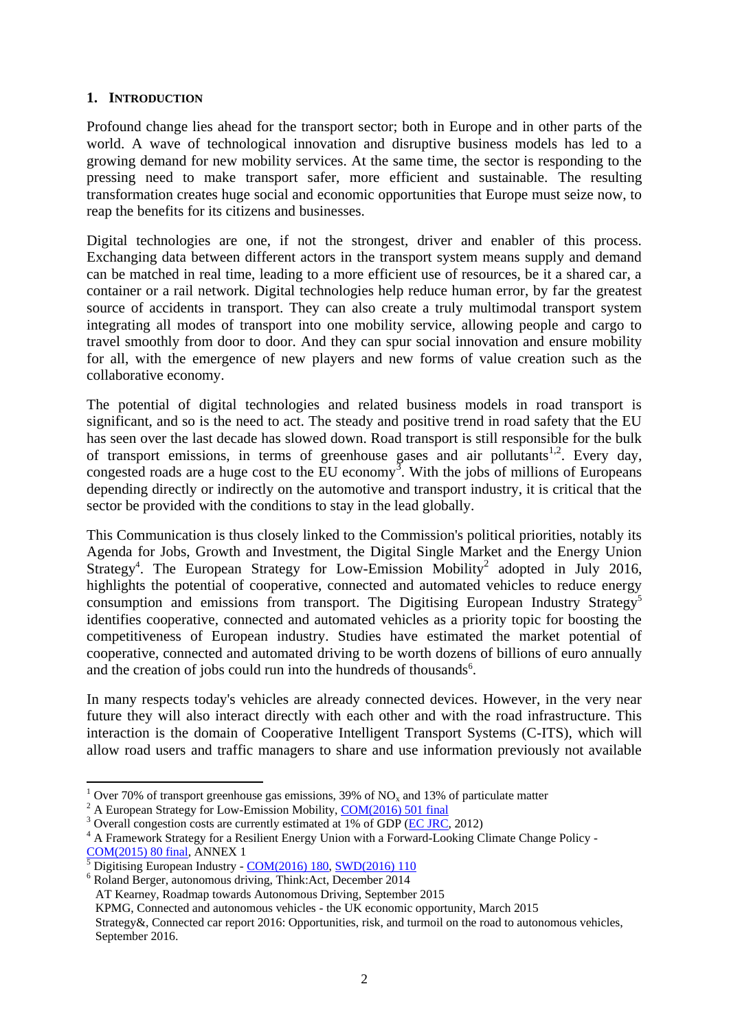## **1. INTRODUCTION**

Profound change lies ahead for the transport sector; both in Europe and in other parts of the world. A wave of technological innovation and disruptive business models has led to a growing demand for new mobility services. At the same time, the sector is responding to the pressing need to make transport safer, more efficient and sustainable. The resulting transformation creates huge social and economic opportunities that Europe must seize now, to reap the benefits for its citizens and businesses.

Digital technologies are one, if not the strongest, driver and enabler of this process. Exchanging data between different actors in the transport system means supply and demand can be matched in real time, leading to a more efficient use of resources, be it a shared car, a container or a rail network. Digital technologies help reduce human error, by far the greatest source of accidents in transport. They can also create a truly multimodal transport system integrating all modes of transport into one mobility service, allowing people and cargo to travel smoothly from door to door. And they can spur social innovation and ensure mobility for all, with the emergence of new players and new forms of value creation such as the collaborative economy.

<span id="page-1-0"></span>The potential of digital technologies and related business models in road transport is significant, and so is the need to act. The steady and positive trend in road safety that the EU has seen over the last decade has slowed down. Road transport is still responsible for the bulk of transport emissions, in terms of greenhouse gases and air pollutants<sup>1,2</sup>. Every day, congested roads are a huge cost to the EU economy<sup>3</sup>. With the jobs of millions of Europeans depending directly or indirectly on the automotive and transport industry, it is critical that the sector be provided with the conditions to stay in the lead globally.

This Communication is thus closely linked to the Commission's political priorities, notably its Agenda for Jobs, Growth and Investment, the Digital Single Market and the Energy Union Strategy<sup>4</sup>. The European Strategy for Low-Emission Mobility<sup>[2](#page-1-0)</sup> adopted in July 2016, highlights the potential of cooperative, connected and automated vehicles to reduce energy consumption and emissions from transport. The Digitising European Industry Strategy<sup>5</sup> identifies cooperative, connected and automated vehicles as a priority topic for boosting the competitiveness of European industry. Studies have estimated the market potential of cooperative, connected and automated driving to be worth dozens of billions of euro annually and the creation of jobs could run into the hundreds of thousands<sup>6</sup>.

In many respects today's vehicles are already connected devices. However, in the very near future they will also interact directly with each other and with the road infrastructure. This interaction is the domain of Cooperative Intelligent Transport Systems (C-ITS), which will allow road users and traffic managers to share and use information previously not available

1

Over 70% of transport greenhouse gas emissions, 39% of  $NO<sub>x</sub>$  and 13% of particulate matter

<sup>&</sup>lt;sup>2</sup> A European Strategy for Low-Emission Mobility, [COM\(2016\) 501 final](http://eur-lex.europa.eu/legal-content/EN/TXT/?qid=1476374593053&uri=CELEX:52016DC0501)

 $3$  Overall congestion costs are currently estimated at 1% of GDP [\(EC JRC,](http://ftp.jrc.es/EURdoc/JRC69961.pdf) 2012)

<sup>&</sup>lt;sup>4</sup> A Framework Strategy for a Resilient Energy Union with a Forward-Looking Climate Change Policy -[COM\(2015\) 80 final,](http://eur-lex.europa.eu/legal-content/EN/TXT/?uri=COM%3A2015%3A80%3AFIN) ANNEX 1

<sup>&</sup>lt;sup>5</sup> Digitising European Industry - [COM\(2016\) 180,](http://eur-lex.europa.eu/legal-content/EN/TXT/?qid=1479300554594&uri=CELEX:52016DC0180) [SWD\(2016\) 110](http://eur-lex.europa.eu/legal-content/de/TXT/?uri=CELEX%3A52016SC0110)

<sup>6</sup> Roland Berger, autonomous driving, Think:Act, December 2014

AT Kearney, Roadmap towards Autonomous Driving, September 2015

KPMG, Connected and autonomous vehicles - the UK economic opportunity, March 2015

Strategy&, Connected car report 2016: Opportunities, risk, and turmoil on the road to autonomous vehicles, September 2016.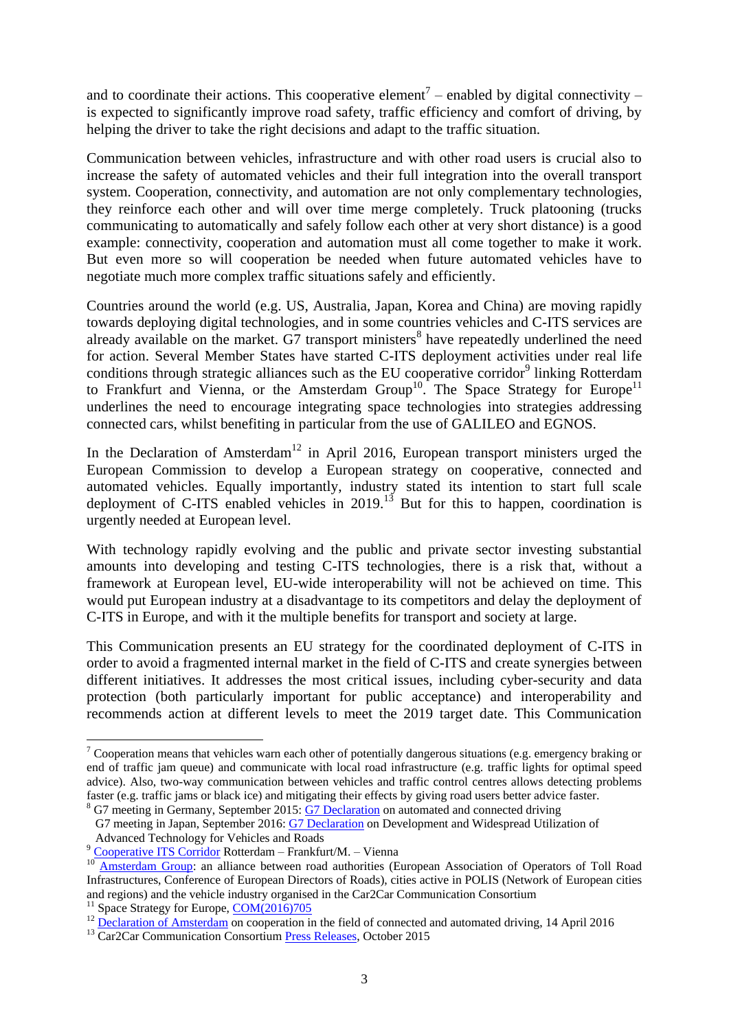and to coordinate their actions. This cooperative element<sup>7</sup> – enabled by digital connectivity – is expected to significantly improve road safety, traffic efficiency and comfort of driving, by helping the driver to take the right decisions and adapt to the traffic situation.

Communication between vehicles, infrastructure and with other road users is crucial also to increase the safety of automated vehicles and their full integration into the overall transport system. Cooperation, connectivity, and automation are not only complementary technologies, they reinforce each other and will over time merge completely. Truck platooning (trucks communicating to automatically and safely follow each other at very short distance) is a good example: connectivity, cooperation and automation must all come together to make it work. But even more so will cooperation be needed when future automated vehicles have to negotiate much more complex traffic situations safely and efficiently.

Countries around the world (e.g. US, Australia, Japan, Korea and China) are moving rapidly towards deploying digital technologies, and in some countries vehicles and C-ITS services are already available on the market.  $G7$  transport ministers<sup>8</sup> have repeatedly underlined the need for action. Several Member States have started C-ITS deployment activities under real life conditions through strategic alliances such as the EU cooperative corridor<sup>9</sup> linking Rotterdam to Frankfurt and Vienna, or the Amsterdam Group<sup>10</sup>. The Space Strategy for Europe<sup>11</sup> underlines the need to encourage integrating space technologies into strategies addressing connected cars, whilst benefiting in particular from the use of GALILEO and EGNOS.

<span id="page-2-0"></span>In the Declaration of Amsterdam<sup>12</sup> in April 2016, European transport ministers urged the European Commission to develop a European strategy on cooperative, connected and automated vehicles. Equally importantly, industry stated its intention to start full scale deployment of C-ITS enabled vehicles in  $2019$ .<sup>13</sup> But for this to happen, coordination is urgently needed at European level.

With technology rapidly evolving and the public and private sector investing substantial amounts into developing and testing C-ITS technologies, there is a risk that, without a framework at European level, EU-wide interoperability will not be achieved on time. This would put European industry at a disadvantage to its competitors and delay the deployment of C-ITS in Europe, and with it the multiple benefits for transport and society at large.

This Communication presents an EU strategy for the coordinated deployment of C-ITS in order to avoid a fragmented internal market in the field of C-ITS and create synergies between different initiatives. It addresses the most critical issues, including cyber-security and data protection (both particularly important for public acceptance) and interoperability and recommends action at different levels to meet the 2019 target date. This Communication

1

<sup>&</sup>lt;sup>7</sup> Cooperation means that vehicles warn each other of potentially dangerous situations (e.g. emergency braking or end of traffic jam queue) and communicate with local road infrastructure (e.g. traffic lights for optimal speed advice). Also, two-way communication between vehicles and traffic control centres allows detecting problems faster (e.g. traffic jams or black ice) and mitigating their effects by giving road users better advice faster. <sup>8</sup> G7 meeting in Germany, September 2015: [G7 Declaration](http://www.bmvi.de/SharedDocs/EN/Artikel/K/G7/g7-dokumente.html) on automated and connected driving

G7 meeting in Japan, September 2016: [G7 Declaration](http://www.mlit.go.jp/common/001146631.pdf) on Development and Widespread Utilization of Advanced Technology for Vehicles and Roads

<sup>&</sup>lt;sup>9</sup> [Cooperative ITS Corridor](http://c-its-korridor.de/) Rotterdam – Frankfurt/M. – Vienna

<sup>&</sup>lt;sup>10</sup> [Amsterdam Group:](https://amsterdamgroup.mett.nl/) an alliance between road authorities (European Association of Operators of Toll Road Infrastructures, Conference of European Directors of Roads), cities active in POLIS (Network of European cities and regions) and the vehicle industry organised in the Car2Car Communication Consortium

<sup>&</sup>lt;sup>11</sup> Space Strategy for Europe, [COM\(2016\)705](http://eur-lex.europa.eu/legal-content/EN/TXT/?qid=1479300756981&uri=CELEX:52016DC0705)

<sup>&</sup>lt;sup>12</sup> [Declaration of Amsterdam](https://english.eu2016.nl/documents/publications/2016/04/14/declaration-of-amsterdam) on cooperation in the field of connected and automated driving, 14 April 2016

<sup>&</sup>lt;sup>13</sup> Car2Car Communication Consortium [Press Releases,](https://www.car-2-car.org/index.php?id=214) October 2015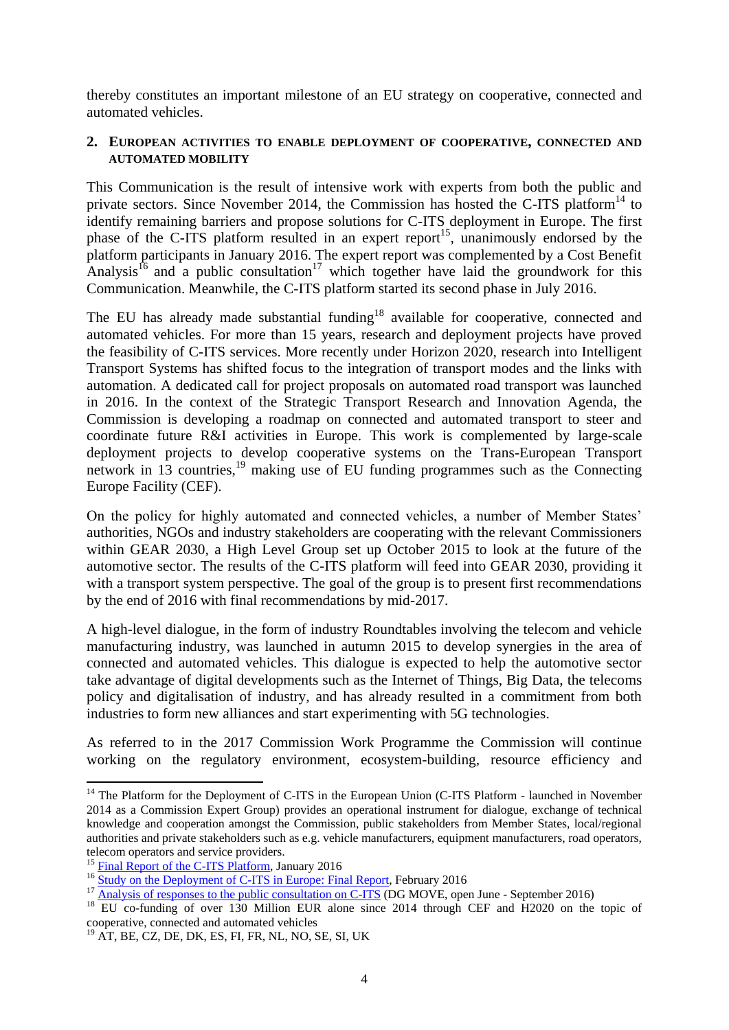thereby constitutes an important milestone of an EU strategy on cooperative, connected and automated vehicles.

#### **2. EUROPEAN ACTIVITIES TO ENABLE DEPLOYMENT OF COOPERATIVE, CONNECTED AND AUTOMATED MOBILITY**

This Communication is the result of intensive work with experts from both the public and private sectors. Since November 2014, the Commission has hosted the C-ITS platform<sup>14</sup> to identify remaining barriers and propose solutions for C-ITS deployment in Europe. The first phase of the C-ITS platform resulted in an expert report<sup>15</sup>, unanimously endorsed by the platform participants in January 2016. The expert report was complemented by a Cost Benefit Analysis<sup>16</sup> and a public consultation<sup>17</sup> which together have laid the groundwork for this Communication. Meanwhile, the C-ITS platform started its second phase in July 2016.

<span id="page-3-0"></span>The EU has already made substantial funding<sup>18</sup> available for cooperative, connected and automated vehicles. For more than 15 years, research and deployment projects have proved the feasibility of C-ITS services. More recently under Horizon 2020, research into Intelligent Transport Systems has shifted focus to the integration of transport modes and the links with automation. A dedicated call for project proposals on automated road transport was launched in 2016. In the context of the Strategic Transport Research and Innovation Agenda, the Commission is developing a roadmap on connected and automated transport to steer and coordinate future R&I activities in Europe. This work is complemented by large-scale deployment projects to develop cooperative systems on the Trans-European Transport network in 13 countries,<sup>19</sup> making use of EU funding programmes such as the Connecting Europe Facility (CEF).

On the policy for highly automated and connected vehicles, a number of Member States' authorities, NGOs and industry stakeholders are cooperating with the relevant Commissioners within GEAR 2030, a High Level Group set up October 2015 to look at the future of the automotive sector. The results of the C-ITS platform will feed into GEAR 2030, providing it with a transport system perspective. The goal of the group is to present first recommendations by the end of 2016 with final recommendations by mid-2017.

A high-level dialogue, in the form of industry Roundtables involving the telecom and vehicle manufacturing industry, was launched in autumn 2015 to develop synergies in the area of connected and automated vehicles. This dialogue is expected to help the automotive sector take advantage of digital developments such as the Internet of Things, Big Data, the telecoms policy and digitalisation of industry, and has already resulted in a commitment from both industries to form new alliances and start experimenting with 5G technologies.

As referred to in the 2017 Commission Work Programme the Commission will continue working on the regulatory environment, ecosystem-building, resource efficiency and

1

<sup>&</sup>lt;sup>14</sup> The Platform for the Deployment of C-ITS in the European Union (C-ITS Platform - launched in November 2014 as a Commission Expert Group) provides an operational instrument for dialogue, exchange of technical knowledge and cooperation amongst the Commission, public stakeholders from Member States, local/regional authorities and private stakeholders such as e.g. vehicle manufacturers, equipment manufacturers, road operators, telecom operators and service providers.

<sup>&</sup>lt;sup>15</sup> [Final Report of the C-ITS Platform,](http://ec.europa.eu/transport/themes/its/c-its_en.htm) January 2016

<sup>&</sup>lt;sup>16</sup> [Study on the Deployment of C-ITS in Europe: Final Report,](http://ec.europa.eu/transport/sites/transport/files/2016-c-its-deployment-study-final-report.pdf) February 2016

 $17 \frac{\text{Study on the Depton point of } C \text{ + } 10 \text{ m.} \times 10^{10} \text{ m.} \times 10^{10} \text{ m.}}{100 \text{ ATOV}}$  Commercial consultation on C-ITS (DG MOVE, open June - September 2016)

<sup>&</sup>lt;sup>18</sup> EU co-funding of over 130 Million EUR alone since 2014 through CEF and H2020 on the topic of cooperative, connected and automated vehicles

<sup>19</sup> AT, BE, CZ, DE, DK, ES, FI, FR, NL, NO, SE, SI, UK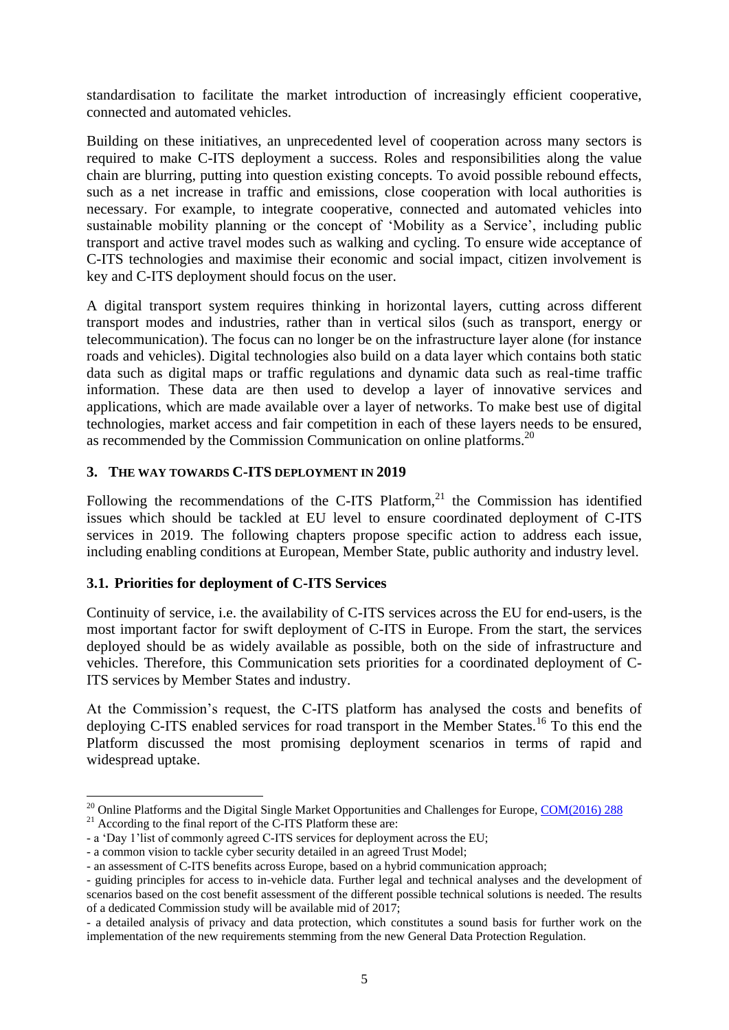standardisation to facilitate the market introduction of increasingly efficient cooperative, connected and automated vehicles.

Building on these initiatives, an unprecedented level of cooperation across many sectors is required to make C-ITS deployment a success. Roles and responsibilities along the value chain are blurring, putting into question existing concepts. To avoid possible rebound effects, such as a net increase in traffic and emissions, close cooperation with local authorities is necessary. For example, to integrate cooperative, connected and automated vehicles into sustainable mobility planning or the concept of 'Mobility as a Service', including public transport and active travel modes such as walking and cycling. To ensure wide acceptance of C-ITS technologies and maximise their economic and social impact, citizen involvement is key and C-ITS deployment should focus on the user.

A digital transport system requires thinking in horizontal layers, cutting across different transport modes and industries, rather than in vertical silos (such as transport, energy or telecommunication). The focus can no longer be on the infrastructure layer alone (for instance roads and vehicles). Digital technologies also build on a data layer which contains both static data such as digital maps or traffic regulations and dynamic data such as real-time traffic information. These data are then used to develop a layer of innovative services and applications, which are made available over a layer of networks. To make best use of digital technologies, market access and fair competition in each of these layers needs to be ensured, as recommended by the Commission Communication on online platforms.<sup>20</sup>

## **3. THE WAY TOWARDS C-ITS DEPLOYMENT IN 2019**

Following the recommendations of the C-ITS Platform, $21$  the Commission has identified issues which should be tackled at EU level to ensure coordinated deployment of C-ITS services in 2019. The following chapters propose specific action to address each issue, including enabling conditions at European, Member State, public authority and industry level.

# **3.1. Priorities for deployment of C-ITS Services**

Continuity of service, i.e. the availability of C-ITS services across the EU for end-users, is the most important factor for swift deployment of C-ITS in Europe. From the start, the services deployed should be as widely available as possible, both on the side of infrastructure and vehicles. Therefore, this Communication sets priorities for a coordinated deployment of C-ITS services by Member States and industry.

At the Commission's request, the C-ITS platform has analysed the costs and benefits of deploying C-ITS enabled services for road transport in the Member States.<sup>[16](#page-3-0)</sup> To this end the Platform discussed the most promising deployment scenarios in terms of rapid and widespread uptake.

**.** 

<sup>&</sup>lt;sup>20</sup> Online Platforms and the Digital Single Market Opportunities and Challenges for Europe,  $COM(2016)$  288

 $^{21}$  According to the final report of the C-ITS Platform these are:

<sup>-</sup> a 'Day 1'list of commonly agreed C-ITS services for deployment across the EU;

<sup>-</sup> a common vision to tackle cyber security detailed in an agreed Trust Model;

<sup>-</sup> an assessment of C-ITS benefits across Europe, based on a hybrid communication approach;

<sup>-</sup> guiding principles for access to in-vehicle data. Further legal and technical analyses and the development of scenarios based on the cost benefit assessment of the different possible technical solutions is needed. The results of a dedicated Commission study will be available mid of 2017;

<sup>-</sup> a detailed analysis of privacy and data protection, which constitutes a sound basis for further work on the implementation of the new requirements stemming from the new General Data Protection Regulation.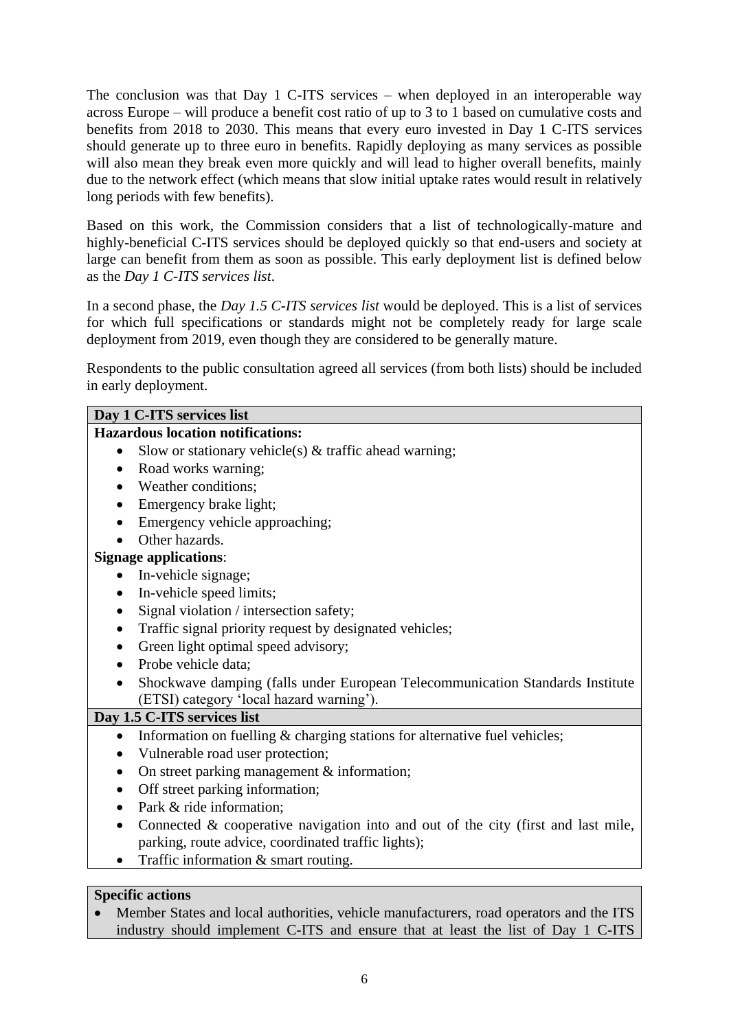The conclusion was that Day 1 C-ITS services – when deployed in an interoperable way across Europe – will produce a benefit cost ratio of up to 3 to 1 based on cumulative costs and benefits from 2018 to 2030. This means that every euro invested in Day 1 C-ITS services should generate up to three euro in benefits. Rapidly deploying as many services as possible will also mean they break even more quickly and will lead to higher overall benefits, mainly due to the network effect (which means that slow initial uptake rates would result in relatively long periods with few benefits).

Based on this work, the Commission considers that a list of technologically-mature and highly-beneficial C-ITS services should be deployed quickly so that end-users and society at large can benefit from them as soon as possible. This early deployment list is defined below as the *Day 1 C-ITS services list*.

In a second phase, the *Day 1.5 C-ITS services list* would be deployed. This is a list of services for which full specifications or standards might not be completely ready for large scale deployment from 2019, even though they are considered to be generally mature.

Respondents to the public consultation agreed all services (from both lists) should be included in early deployment.

| Day 1 C-ITS services list                                                               |
|-----------------------------------------------------------------------------------------|
| <b>Hazardous location notifications:</b>                                                |
| Slow or stationary vehicle(s) $\&$ traffic ahead warning;<br>$\bullet$                  |
| Road works warning;<br>$\bullet$                                                        |
| Weather conditions;                                                                     |
| Emergency brake light;                                                                  |
| Emergency vehicle approaching;                                                          |
| Other hazards.                                                                          |
| <b>Signage applications:</b>                                                            |
| In-vehicle signage;<br>$\bullet$                                                        |
| In-vehicle speed limits;<br>٠                                                           |
| Signal violation / intersection safety;<br>$\bullet$                                    |
| Traffic signal priority request by designated vehicles;                                 |
| Green light optimal speed advisory;                                                     |
| Probe vehicle data;                                                                     |
| Shockwave damping (falls under European Telecommunication Standards Institute           |
| (ETSI) category 'local hazard warning').                                                |
| Day 1.5 C-ITS services list                                                             |
| Information on fuelling & charging stations for alternative fuel vehicles;<br>$\bullet$ |
| Vulnerable road user protection;                                                        |
| On street parking management & information;<br>$\bullet$                                |
| Off street parking information;                                                         |
| Park & ride information;                                                                |
| Connected $\&$ cooperative navigation into and out of the city (first and last mile,    |
| parking, route advice, coordinated traffic lights);                                     |
| Traffic information & smart routing.                                                    |
|                                                                                         |

# **Specific actions**

• Member States and local authorities, vehicle manufacturers, road operators and the ITS industry should implement C-ITS and ensure that at least the list of Day 1 C-ITS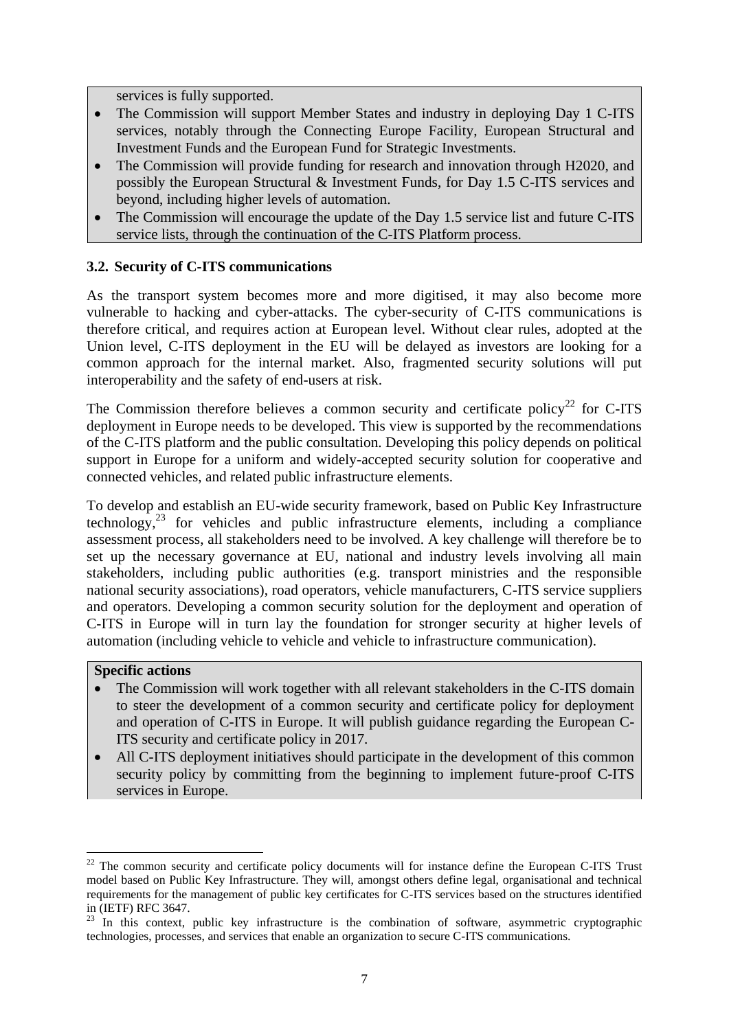services is fully supported.

- The Commission will support Member States and industry in deploying Day 1 C-ITS services, notably through the Connecting Europe Facility, European Structural and Investment Funds and the European Fund for Strategic Investments.
- The Commission will provide funding for research and innovation through H2020, and possibly the European Structural & Investment Funds, for Day 1.5 C-ITS services and beyond, including higher levels of automation.
- The Commission will encourage the update of the Day 1.5 service list and future C-ITS service lists, through the continuation of the C-ITS Platform process.

## **3.2. Security of C-ITS communications**

As the transport system becomes more and more digitised, it may also become more vulnerable to hacking and cyber-attacks. The cyber-security of C-ITS communications is therefore critical, and requires action at European level. Without clear rules, adopted at the Union level, C-ITS deployment in the EU will be delayed as investors are looking for a common approach for the internal market. Also, fragmented security solutions will put interoperability and the safety of end-users at risk.

The Commission therefore believes a common security and certificate policy<sup>22</sup> for C-ITS deployment in Europe needs to be developed. This view is supported by the recommendations of the C-ITS platform and the public consultation. Developing this policy depends on political support in Europe for a uniform and widely-accepted security solution for cooperative and connected vehicles, and related public infrastructure elements.

To develop and establish an EU-wide security framework, based on Public Key Infrastructure technology, $23$  for vehicles and public infrastructure elements, including a compliance assessment process, all stakeholders need to be involved. A key challenge will therefore be to set up the necessary governance at EU, national and industry levels involving all main stakeholders, including public authorities (e.g. transport ministries and the responsible national security associations), road operators, vehicle manufacturers, C-ITS service suppliers and operators. Developing a common security solution for the deployment and operation of C-ITS in Europe will in turn lay the foundation for stronger security at higher levels of automation (including vehicle to vehicle and vehicle to infrastructure communication).

#### **Specific actions**

**.** 

- The Commission will work together with all relevant stakeholders in the C-ITS domain to steer the development of a common security and certificate policy for deployment and operation of C-ITS in Europe. It will publish guidance regarding the European C-ITS security and certificate policy in 2017.
- All C-ITS deployment initiatives should participate in the development of this common security policy by committing from the beginning to implement future-proof C-ITS services in Europe.

 $22$  The common security and certificate policy documents will for instance define the European C-ITS Trust model based on Public Key Infrastructure. They will, amongst others define legal, organisational and technical requirements for the management of public key certificates for C-ITS services based on the structures identified in (IETF) RFC 3647.

<sup>&</sup>lt;sup>23</sup> In this context, public key infrastructure is the combination of software, asymmetric cryptographic technologies, processes, and services that enable an organization to secure C-ITS communications.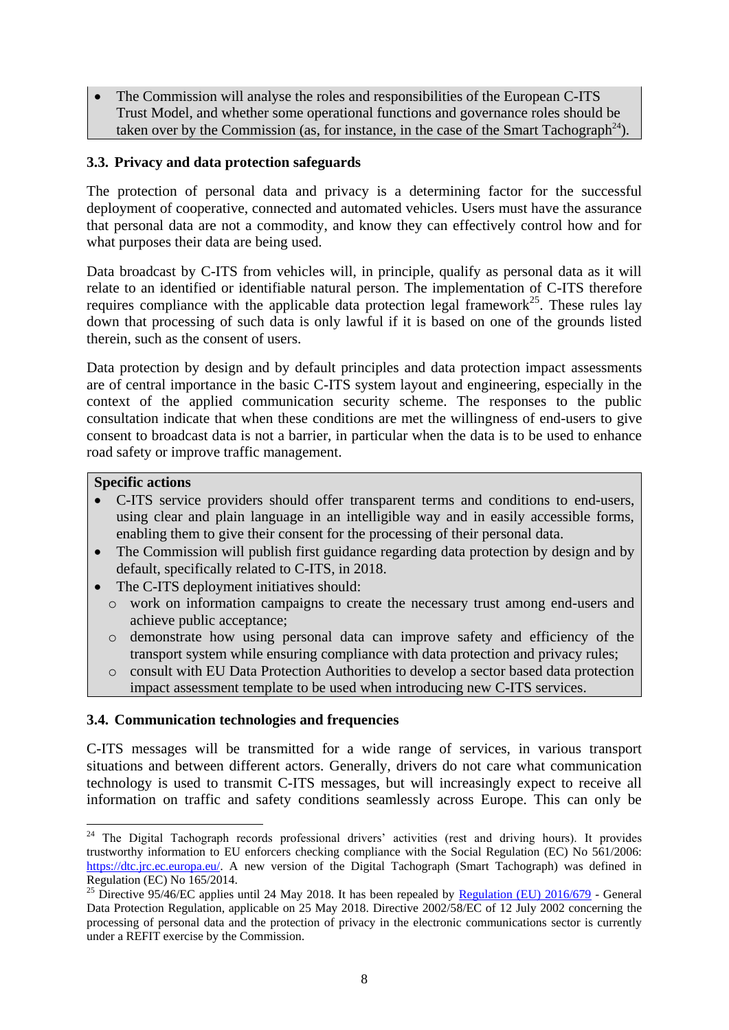• The Commission will analyse the roles and responsibilities of the European C-ITS Trust Model, and whether some operational functions and governance roles should be taken over by the Commission (as, for instance, in the case of the Smart Tachograph<sup>24</sup>).

## **3.3. Privacy and data protection safeguards**

The protection of personal data and privacy is a determining factor for the successful deployment of cooperative, connected and automated vehicles. Users must have the assurance that personal data are not a commodity, and know they can effectively control how and for what purposes their data are being used.

Data broadcast by C-ITS from vehicles will, in principle, qualify as personal data as it will relate to an identified or identifiable natural person. The implementation of C-ITS therefore requires compliance with the applicable data protection legal framework<sup>25</sup>. These rules lay down that processing of such data is only lawful if it is based on one of the grounds listed therein, such as the consent of users.

Data protection by design and by default principles and data protection impact assessments are of central importance in the basic C-ITS system layout and engineering, especially in the context of the applied communication security scheme. The responses to the public consultation indicate that when these conditions are met the willingness of end-users to give consent to broadcast data is not a barrier, in particular when the data is to be used to enhance road safety or improve traffic management.

#### **Specific actions**

- C-ITS service providers should offer transparent terms and conditions to end-users, using clear and plain language in an intelligible way and in easily accessible forms, enabling them to give their consent for the processing of their personal data.
- The Commission will publish first guidance regarding data protection by design and by default, specifically related to C-ITS, in 2018.
- The C-ITS deployment initiatives should:
	- o work on information campaigns to create the necessary trust among end-users and achieve public acceptance;
	- o demonstrate how using personal data can improve safety and efficiency of the transport system while ensuring compliance with data protection and privacy rules;
	- o consult with EU Data Protection Authorities to develop a sector based data protection impact assessment template to be used when introducing new C-ITS services.

#### **3.4. Communication technologies and frequencies**

C-ITS messages will be transmitted for a wide range of services, in various transport situations and between different actors. Generally, drivers do not care what communication technology is used to transmit C-ITS messages, but will increasingly expect to receive all information on traffic and safety conditions seamlessly across Europe. This can only be

<sup>1</sup> <sup>24</sup> The Digital Tachograph records professional drivers' activities (rest and driving hours). It provides trustworthy information to EU enforcers checking compliance with the Social Regulation (EC) No 561/2006: [https://dtc.jrc.ec.europa.eu/.](https://dtc.jrc.ec.europa.eu/) A new version of the Digital Tachograph (Smart Tachograph) was defined in Regulation (EC) No 165/2014.

<sup>&</sup>lt;sup>25</sup> Directive 95/46/EC applies until 24 May 2018. It has been repealed by [Regulation \(EU\) 2016/679](http://eur-lex.europa.eu/legal-content/en/TXT/?uri=CELEX%3A32016R0679) - General Data Protection Regulation, applicable on 25 May 2018. Directive 2002/58/EC of 12 July 2002 concerning the processing of personal data and the protection of privacy in the electronic communications sector is currently under a REFIT exercise by the Commission.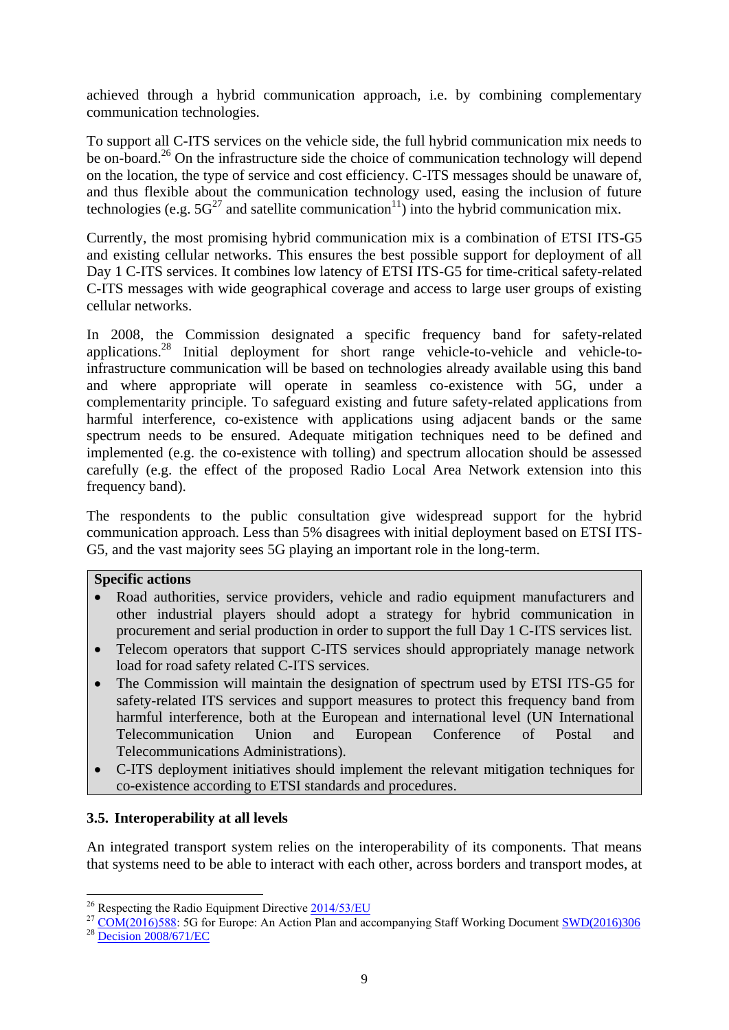achieved through a hybrid communication approach, i.e. by combining complementary communication technologies.

To support all C-ITS services on the vehicle side, the full hybrid communication mix needs to be on-board.<sup>26</sup> On the infrastructure side the choice of communication technology will depend on the location, the type of service and cost efficiency. C-ITS messages should be unaware of, and thus flexible about the communication technology used, easing the inclusion of future technologies (e.g.  $5G^{27}$  and satellite communication<sup>[11](#page-2-0)</sup>) into the hybrid communication mix.

Currently, the most promising hybrid communication mix is a combination of ETSI ITS-G5 and existing cellular networks. This ensures the best possible support for deployment of all Day 1 C-ITS services. It combines low latency of ETSI ITS-G5 for time-critical safety-related C-ITS messages with wide geographical coverage and access to large user groups of existing cellular networks.

In 2008, the Commission designated a specific frequency band for safety-related applications.<sup>28</sup> Initial deployment for short range vehicle-to-vehicle and vehicle-toinfrastructure communication will be based on technologies already available using this band and where appropriate will operate in seamless co-existence with 5G, under a complementarity principle. To safeguard existing and future safety-related applications from harmful interference, co-existence with applications using adjacent bands or the same spectrum needs to be ensured. Adequate mitigation techniques need to be defined and implemented (e.g. the co-existence with tolling) and spectrum allocation should be assessed carefully (e.g. the effect of the proposed Radio Local Area Network extension into this frequency band).

The respondents to the public consultation give widespread support for the hybrid communication approach. Less than 5% disagrees with initial deployment based on ETSI ITS-G5, and the vast majority sees 5G playing an important role in the long-term.

#### **Specific actions**

- Road authorities, service providers, vehicle and radio equipment manufacturers and other industrial players should adopt a strategy for hybrid communication in procurement and serial production in order to support the full Day 1 C-ITS services list.
- Telecom operators that support C-ITS services should appropriately manage network load for road safety related C-ITS services.
- The Commission will maintain the designation of spectrum used by ETSI ITS-G5 for safety-related ITS services and support measures to protect this frequency band from harmful interference, both at the European and international level (UN International Telecommunication Union and European Conference of Postal and Telecommunications Administrations).
- C-ITS deployment initiatives should implement the relevant mitigation techniques for co-existence according to ETSI standards and procedures.

# **3.5. Interoperability at all levels**

An integrated transport system relies on the interoperability of its components. That means that systems need to be able to interact with each other, across borders and transport modes, at

**<sup>.</sup>** <sup>26</sup> Respecting the Radio Equipment Directive  $\frac{2014}{53/EU}$ 

<sup>&</sup>lt;sup>27</sup> [COM\(2016\)588:](http://eur-lex.europa.eu/legal-content/EN/TXT/?qid=1479301654220&uri=CELEX:52016DC0588) 5G for Europe: An Action Plan and accompanying Staff Working Document [SWD\(2016\)306](http://eur-lex.europa.eu/legal-content/EN/TXT/?qid=1479301730611&uri=CELEX:52016SC0306)

<sup>28</sup> [Decision 2008/671/EC](http://eur-lex.europa.eu/legal-content/EN/TXT/?uri=CELEX%3A32008D0671)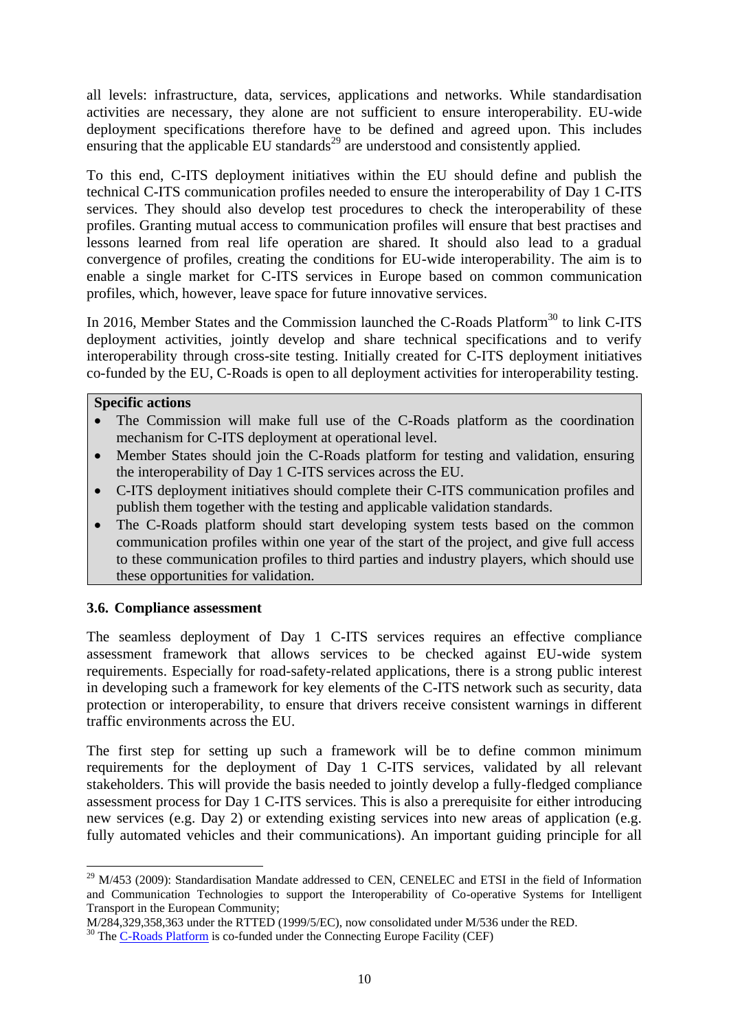all levels: infrastructure, data, services, applications and networks. While standardisation activities are necessary, they alone are not sufficient to ensure interoperability. EU-wide deployment specifications therefore have to be defined and agreed upon. This includes  $\frac{1}{\sqrt{2}}$  ensuring that the applicable EU standards<sup>29</sup> are understood and consistently applied.

To this end, C-ITS deployment initiatives within the EU should define and publish the technical C-ITS communication profiles needed to ensure the interoperability of Day 1 C-ITS services. They should also develop test procedures to check the interoperability of these profiles. Granting mutual access to communication profiles will ensure that best practises and lessons learned from real life operation are shared. It should also lead to a gradual convergence of profiles, creating the conditions for EU-wide interoperability. The aim is to enable a single market for C-ITS services in Europe based on common communication profiles, which, however, leave space for future innovative services.

In 2016, Member States and the Commission launched the C-Roads Platform<sup>30</sup> to link C-ITS deployment activities, jointly develop and share technical specifications and to verify interoperability through cross-site testing. Initially created for C-ITS deployment initiatives co-funded by the EU, C-Roads is open to all deployment activities for interoperability testing.

## **Specific actions**

- The Commission will make full use of the C-Roads platform as the coordination mechanism for C-ITS deployment at operational level.
- Member States should join the C-Roads platform for testing and validation, ensuring the interoperability of Day 1 C-ITS services across the EU.
- C-ITS deployment initiatives should complete their C-ITS communication profiles and publish them together with the testing and applicable validation standards.
- The C-Roads platform should start developing system tests based on the common communication profiles within one year of the start of the project, and give full access to these communication profiles to third parties and industry players, which should use these opportunities for validation.

# **3.6. Compliance assessment**

The seamless deployment of Day 1 C-ITS services requires an effective compliance assessment framework that allows services to be checked against EU-wide system requirements. Especially for road-safety-related applications, there is a strong public interest in developing such a framework for key elements of the C-ITS network such as security, data protection or interoperability, to ensure that drivers receive consistent warnings in different traffic environments across the EU.

The first step for setting up such a framework will be to define common minimum requirements for the deployment of Day 1 C-ITS services, validated by all relevant stakeholders. This will provide the basis needed to jointly develop a fully-fledged compliance assessment process for Day 1 C-ITS services. This is also a prerequisite for either introducing new services (e.g. Day 2) or extending existing services into new areas of application (e.g. fully automated vehicles and their communications). An important guiding principle for all

<sup>1</sup>  $29$  M/453 (2009): Standardisation Mandate addressed to CEN, CENELEC and ETSI in the field of Information and Communication Technologies to support the Interoperability of Co-operative Systems for Intelligent Transport in the European Community;

M/284,329,358,363 under the RTTED (1999/5/EC), now consolidated under M/536 under the RED.

<sup>&</sup>lt;sup>30</sup> The [C-Roads Platform](http://www.c-roads.eu/) is co-funded under the Connecting Europe Facility (CEF)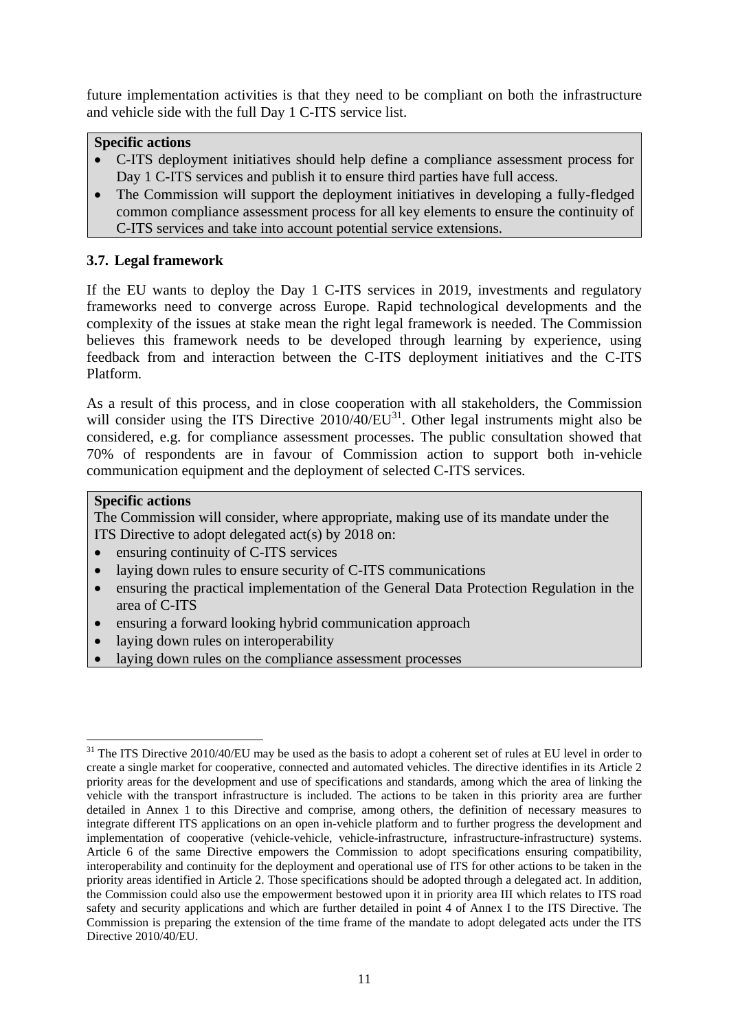future implementation activities is that they need to be compliant on both the infrastructure and vehicle side with the full Day 1 C-ITS service list.

# **Specific actions**

- C-ITS deployment initiatives should help define a compliance assessment process for Day 1 C-ITS services and publish it to ensure third parties have full access.
- The Commission will support the deployment initiatives in developing a fully-fledged common compliance assessment process for all key elements to ensure the continuity of C-ITS services and take into account potential service extensions.

# **3.7. Legal framework**

If the EU wants to deploy the Day 1 C-ITS services in 2019, investments and regulatory frameworks need to converge across Europe. Rapid technological developments and the complexity of the issues at stake mean the right legal framework is needed. The Commission believes this framework needs to be developed through learning by experience, using feedback from and interaction between the C-ITS deployment initiatives and the C-ITS Platform.

As a result of this process, and in close cooperation with all stakeholders, the Commission will consider using the ITS Directive  $2010/40/EU^{31}$ . Other legal instruments might also be considered, e.g. for compliance assessment processes. The public consultation showed that 70% of respondents are in favour of Commission action to support both in-vehicle communication equipment and the deployment of selected C-ITS services.

# **Specific actions**

The Commission will consider, where appropriate, making use of its mandate under the ITS Directive to adopt delegated act(s) by 2018 on:

- ensuring continuity of C-ITS services
- laying down rules to ensure security of C-ITS communications
- ensuring the practical implementation of the General Data Protection Regulation in the area of C-ITS
- ensuring a forward looking hybrid communication approach
- laying down rules on interoperability
- laying down rules on the compliance assessment processes

<sup>1</sup> <sup>31</sup> The ITS Directive 2010/40/EU may be used as the basis to adopt a coherent set of rules at EU level in order to create a single market for cooperative, connected and automated vehicles. The directive identifies in its Article 2 priority areas for the development and use of specifications and standards, among which the area of linking the vehicle with the transport infrastructure is included. The actions to be taken in this priority area are further detailed in Annex 1 to this Directive and comprise, among others, the definition of necessary measures to integrate different ITS applications on an open in-vehicle platform and to further progress the development and implementation of cooperative (vehicle-vehicle, vehicle-infrastructure, infrastructure-infrastructure) systems. Article 6 of the same Directive empowers the Commission to adopt specifications ensuring compatibility, interoperability and continuity for the deployment and operational use of ITS for other actions to be taken in the priority areas identified in Article 2. Those specifications should be adopted through a delegated act. In addition, the Commission could also use the empowerment bestowed upon it in priority area III which relates to ITS road safety and security applications and which are further detailed in point 4 of Annex I to the ITS Directive. The Commission is preparing the extension of the time frame of the mandate to adopt delegated acts under the ITS Directive 2010/40/EU.